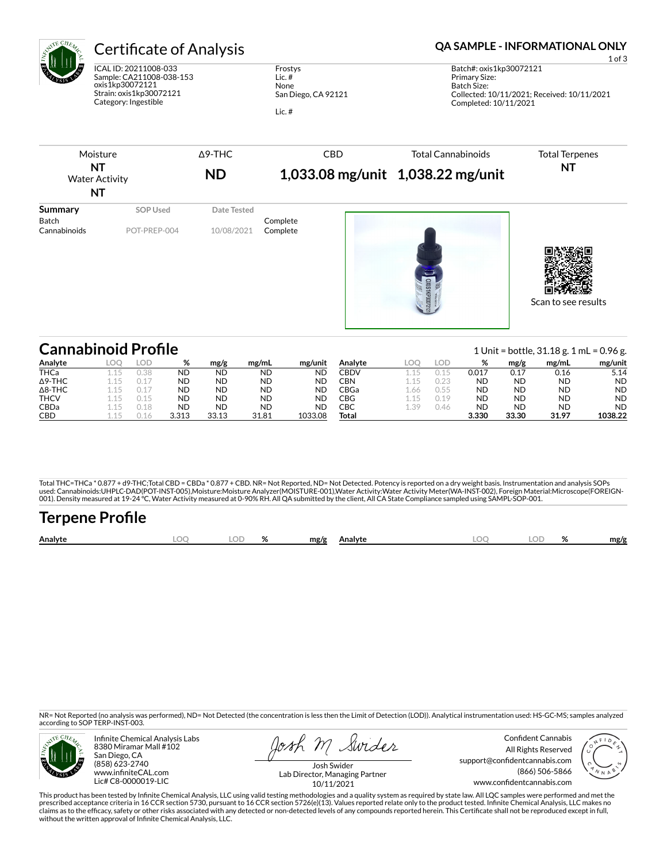

# Certificate of Analysis **Certificate of Analysis QA SAMPLE - INFORMATIONAL ONLY**

ICAL ID: 20211008-033 Sample: CA211008-038-153 oxis1kp30072121 Strain: oxis1kp30072121 Category: Ingestible

Frostys Lic. # None San Diego, CA 92121 Lic. #

| Moisture<br><b>NT</b><br><b>Water Activity</b><br>NT |                                 | $\Delta$ 9-THC<br><b>ND</b> | <b>CBD</b>           | <b>Total Cannabinoids</b><br>1,033.08 mg/unit 1,038.22 mg/unit | <b>Total Terpenes</b><br><b>NT</b> |
|------------------------------------------------------|---------------------------------|-----------------------------|----------------------|----------------------------------------------------------------|------------------------------------|
| <b>Summary</b><br>Batch<br>Cannabinoids              | <b>SOP Used</b><br>POT-PREP-004 | Date Tested<br>10/08/2021   | Complete<br>Complete | $\Xi$<br>OXIS1KP300721                                         | Scan to see results                |

| <b>Cannabinoid Profile</b> |     |      |           |           |           |           |             |      |      |           |           | 1 Unit = bottle, $31.18$ g. 1 mL = 0.96 g. |           |
|----------------------------|-----|------|-----------|-----------|-----------|-----------|-------------|------|------|-----------|-----------|--------------------------------------------|-----------|
| Analyte                    | LOC | lod  | %         | mg/g      | mg/mL     | mg/unit   | Analyte     |      | loe  | %         | mg/g      | mg/mL                                      | mg/unit   |
| THCa                       |     | 0.38 | <b>ND</b> | <b>ND</b> | <b>ND</b> | <b>ND</b> | <b>CBDV</b> |      |      | 0.017     | 0.17      | 0.16                                       | 5.14      |
| $\Delta$ 9-THC             |     |      | <b>ND</b> | <b>ND</b> | <b>ND</b> | <b>ND</b> | CBN         |      |      | <b>ND</b> | <b>ND</b> | ND.                                        | <b>ND</b> |
| $\Delta$ 8-THC             |     |      | <b>ND</b> | ND        | <b>ND</b> | <b>ND</b> | CBGa        | .66  | 0.55 | <b>ND</b> | <b>ND</b> | ND.                                        | <b>ND</b> |
| <b>THCV</b>                |     |      | <b>ND</b> | ND        | <b>ND</b> | <b>ND</b> | CBG         |      | 0.19 | <b>ND</b> | <b>ND</b> | ND.                                        | <b>ND</b> |
| <b>CBDa</b>                |     | 0.18 | <b>ND</b> | ND        | <b>ND</b> | ND        | СВС         | 1.39 | 0.46 | <b>ND</b> | <b>ND</b> | ND.                                        | <b>ND</b> |
| <b>CBD</b>                 |     |      | 3.313     | 33.13     | 31.81     | 1033.08   | Total       |      |      | 3.330     | 33.30     | 31.97                                      | 1038.22   |

Total THC=THCa \* 0.877 + d9-THC;Total CBD = CBDa \* 0.877 + CBD. NR= Not Reported, ND= Not Detected. Potency is reported on a dry weight basis. Instrumentation and analysis SOPs used: Cannabinoids:UHPLC-DAD(POT-INST-005),Moisture:Moisture Analyzer(MOISTURE-001),Water Activity:Water Activity Meter(WA-INST-002), Foreign Material:Microscope(FOREIGN-<br>001). Density measured at 19-24 °C, Water Activity

# **Terpene Profile Analyte LOQ LOD % mg/g Analyte LOQ LOD % mg/g**

NR= Not Reported (no analysis was performed), ND= Not Detected (the concentration is less then the Limit of Detection (LOD)). Analytical instrumentation used: HS-GC-MS; samples analyzed according to SOP TERP-INST-003.



Infinite Chemical Analysis Labs 8380 Miramar Mall #102 San Diego, CA (858) 623-2740 www.infiniteCAL.com Lic# C8-0000019-LIC

Josh M Swider

Confident Cannabis All Rights Reserved support@confidentcannabis.com (866) 506-5866 www.confidentcannabis.com



Josh Swider Lab Director, Managing Partner 10/11/2021

This product has been tested by Infinite Chemical Analysis, LLC using valid testing methodologies and a quality system as required by state law. All LQC samples were performed and met the prescribed acceptance criteria in 16 CCR section 5730, pursuant to 16 CCR section 5726(e)(13). Values reported relate only to the product tested. Infinite Chemical Analysis, LLC makes no<br>claims as to the efficacy, safety o without the written approval of Infinite Chemical Analysis, LLC.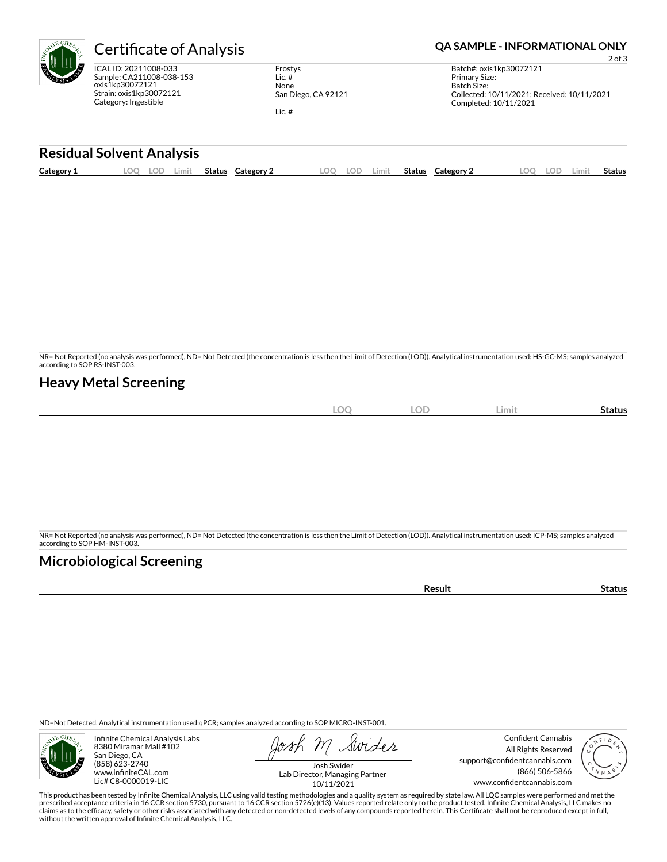| ertif                                     |
|-------------------------------------------|
| ICAL ID: 20:<br>Sample: CA:<br>oxis1kp300 |

211008-033 211008-038-153 172121 Strain: oxis1kp30072121 Category: Ingestible

Frostys Lic. # None San Diego, CA 92121

Lic. #

## **Cate of Analysis <b>CERTIC CERTIC CONCLUST** CA SAMPLE - INFORMATIONAL ONLY

2 of 3 Batch#: oxis1kp30072121 Primary Size: Batch Size: Collected: 10/11/2021; Received: 10/11/2021 Completed: 10/11/2021

### **Residual Solvent Analysis**

| Category 1 | ററ | ∟OD | Limit | Status | Category 1 | LOO | LOD | .imit | Status | ءُ Category | LOC | OD | Limit | Status |
|------------|----|-----|-------|--------|------------|-----|-----|-------|--------|-------------|-----|----|-------|--------|
|            |    |     |       |        |            |     |     |       |        |             |     |    |       |        |

NR= Not Reported (no analysis was performed), ND= Not Detected (the concentration is less then the Limit of Detection (LOD)). Analytical instrumentation used: HS-GC-MS; samples analyzed according to SOP RS-INST-003.

### **Heavy Metal Screening**

| $\cap$<br>$\sim$<br>$\sim$<br>ᅛ<br>◡<br>$\sim$ | Limit<br>Status |  |
|------------------------------------------------|-----------------|--|
|------------------------------------------------|-----------------|--|

NR= Not Reported (no analysis was performed), ND= Not Detected (the concentration is less then the Limit of Detection (LOD)). Analytical instrumentation used: ICP-MS; samples analyzed according to SOP HM-INST-003.

## **Microbiological Screening**

**Result Status** 

ND=Not Detected. Analytical instrumentation used:qPCR; samples analyzed according to SOP MICRO-INST-001.



Infinite Chemical Analysis Labs 8380 Miramar Mall #102 San Diego, CA (858) 623-2740 www.infiniteCAL.com Lic# C8-0000019-LIC

Swider

Confident Cannabis All Rights Reserved support@confidentcannabis.com (866) 506-5866 www.confidentcannabis.com



Josh Swider Lab Director, Managing Partner 10/11/2021

This product has been tested by Infinite Chemical Analysis, LLC using valid testing methodologies and a quality system as required by state law. All LQC samples were performed and met the prescribed acceptance criteria in 16 CCR section 5730, pursuant to 16 CCR section 5726(e)(13). Values reported relate only to the product tested. Infinite Chemical Analysis, LLC makes no<br>claims as to the efficacy, safety o without the written approval of Infinite Chemical Analysis, LLC.